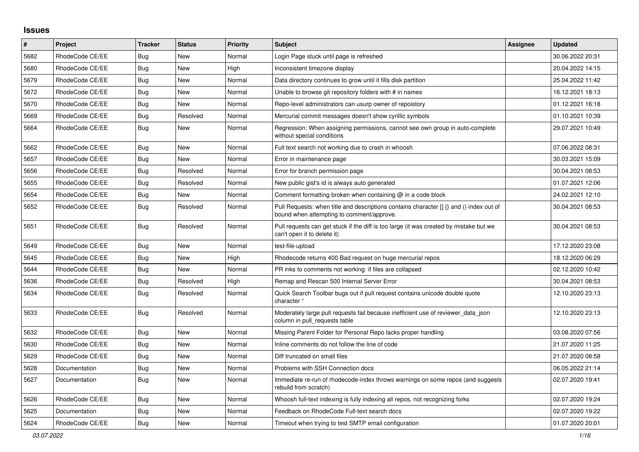## **Issues**

| #    | Project         | <b>Tracker</b> | <b>Status</b> | Priority | <b>Subject</b>                                                                                                                         | Assignee | <b>Updated</b>   |
|------|-----------------|----------------|---------------|----------|----------------------------------------------------------------------------------------------------------------------------------------|----------|------------------|
| 5682 | RhodeCode CE/EE | Bug            | <b>New</b>    | Normal   | Login Page stuck until page is refreshed                                                                                               |          | 30.06.2022 20:31 |
| 5680 | RhodeCode CE/EE | Bug            | <b>New</b>    | High     | Inconsistent timezone display                                                                                                          |          | 20.04.2022 14:15 |
| 5679 | RhodeCode CE/EE | <b>Bug</b>     | <b>New</b>    | Normal   | Data directory continues to grow until it fills disk partition                                                                         |          | 25.04.2022 11:42 |
| 5672 | RhodeCode CE/EE | Bug            | New           | Normal   | Unable to browse git repository folders with # in names                                                                                |          | 16.12.2021 18:13 |
| 5670 | RhodeCode CE/EE | <b>Bug</b>     | New           | Normal   | Repo-level administrators can usurp owner of repoistory                                                                                |          | 01.12.2021 16:18 |
| 5669 | RhodeCode CE/EE | Bug            | Resolved      | Normal   | Mercurial commit messages doesn't show cyrillic symbols                                                                                |          | 01.10.2021 10:39 |
| 5664 | RhodeCode CE/EE | Bug            | New           | Normal   | Regression: When assigning permissions, cannot see own group in auto-complete<br>without special conditions                            |          | 29.07.2021 10:49 |
| 5662 | RhodeCode CE/EE | <b>Bug</b>     | <b>New</b>    | Normal   | Full text search not working due to crash in whoosh                                                                                    |          | 07.06.2022 08:31 |
| 5657 | RhodeCode CE/EE | <b>Bug</b>     | New           | Normal   | Error in maintenance page                                                                                                              |          | 30.03.2021 15:09 |
| 5656 | RhodeCode CE/EE | <b>Bug</b>     | Resolved      | Normal   | Error for branch permission page                                                                                                       |          | 30.04.2021 08:53 |
| 5655 | RhodeCode CE/EE | <b>Bug</b>     | Resolved      | Normal   | New public gist's id is always auto generated                                                                                          |          | 01.07.2021 12:06 |
| 5654 | RhodeCode CE/EE | Bug            | New           | Normal   | Comment formatting broken when containing @ in a code block                                                                            |          | 24.02.2021 12:10 |
| 5652 | RhodeCode CE/EE | <b>Bug</b>     | Resolved      | Normal   | Pull Requests: when title and descriptions contains character $\iint$ and () index out of<br>bound when attempting to comment/approve. |          | 30.04.2021 08:53 |
| 5651 | RhodeCode CE/EE | Bug            | Resolved      | Normal   | Pull requests can get stuck if the diff is too large (it was created by mistake but we<br>can't open it to delete it)                  |          | 30.04.2021 08:53 |
| 5649 | RhodeCode CE/EE | <b>Bug</b>     | New           | Normal   | test-file-upload                                                                                                                       |          | 17.12.2020 23:08 |
| 5645 | RhodeCode CE/EE | Bug            | New           | High     | Rhodecode returns 400 Bad request on huge mercurial repos                                                                              |          | 18.12.2020 06:29 |
| 5644 | RhodeCode CE/EE | <b>Bug</b>     | <b>New</b>    | Normal   | PR inks to comments not working if files are collapsed                                                                                 |          | 02.12.2020 10:42 |
| 5636 | RhodeCode CE/EE | Bug            | Resolved      | High     | Remap and Rescan 500 Internal Server Error                                                                                             |          | 30.04.2021 08:53 |
| 5634 | RhodeCode CE/EE | Bug            | Resolved      | Normal   | Quick Search Toolbar bugs out if pull request contains unicode double quote<br>character "                                             |          | 12.10.2020 23:13 |
| 5633 | RhodeCode CE/EE | <b>Bug</b>     | Resolved      | Normal   | Moderately large pull requests fail because inefficient use of reviewer data json<br>column in pull requests table                     |          | 12.10.2020 23:13 |
| 5632 | RhodeCode CE/EE | Bug            | <b>New</b>    | Normal   | Missing Parent Folder for Personal Repo lacks proper handling                                                                          |          | 03.08.2020 07:56 |
| 5630 | RhodeCode CE/EE | Bug            | New           | Normal   | Inline comments do not follow the line of code                                                                                         |          | 21.07.2020 11:25 |
| 5629 | RhodeCode CE/EE | Bug            | New           | Normal   | Diff truncated on small files                                                                                                          |          | 21.07.2020 08:58 |
| 5628 | Documentation   | Bug            | <b>New</b>    | Normal   | Problems with SSH Connection docs                                                                                                      |          | 06.05.2022 21:14 |
| 5627 | Documentation   | Bug            | New           | Normal   | Immediate re-run of rhodecode-index throws warnings on some repos (and suggests<br>rebuild from scratch)                               |          | 02.07.2020 19:41 |
| 5626 | RhodeCode CE/EE | <b>Bug</b>     | <b>New</b>    | Normal   | Whoosh full-text indexing is fully indexing all repos, not recognizing forks                                                           |          | 02.07.2020 19:24 |
| 5625 | Documentation   | <b>Bug</b>     | New           | Normal   | Feedback on RhodeCode Full-text search docs                                                                                            |          | 02.07.2020 19:22 |
| 5624 | RhodeCode CE/EE | Bug            | New           | Normal   | Timeout when trying to test SMTP email configuration                                                                                   |          | 01.07.2020 20:01 |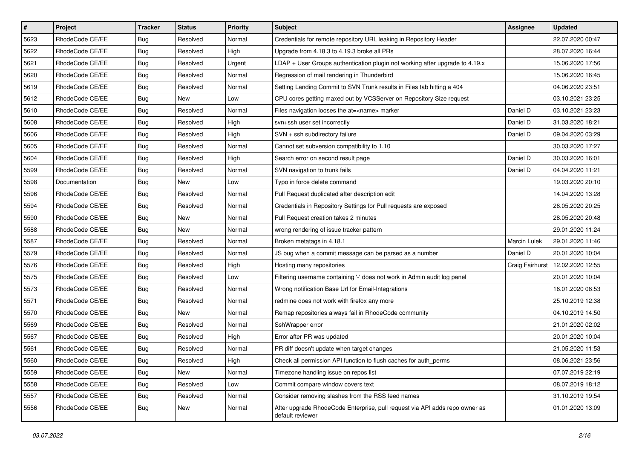| $\pmb{\#}$ | Project         | <b>Tracker</b> | <b>Status</b> | <b>Priority</b> | <b>Subject</b>                                                                                  | Assignee        | <b>Updated</b>   |
|------------|-----------------|----------------|---------------|-----------------|-------------------------------------------------------------------------------------------------|-----------------|------------------|
| 5623       | RhodeCode CE/EE | <b>Bug</b>     | Resolved      | Normal          | Credentials for remote repository URL leaking in Repository Header                              |                 | 22.07.2020 00:47 |
| 5622       | RhodeCode CE/EE | Bug            | Resolved      | High            | Upgrade from 4.18.3 to 4.19.3 broke all PRs                                                     |                 | 28.07.2020 16:44 |
| 5621       | RhodeCode CE/EE | <b>Bug</b>     | Resolved      | Urgent          | LDAP + User Groups authentication plugin not working after upgrade to 4.19.x                    |                 | 15.06.2020 17:56 |
| 5620       | RhodeCode CE/EE | <b>Bug</b>     | Resolved      | Normal          | Regression of mail rendering in Thunderbird                                                     |                 | 15.06.2020 16:45 |
| 5619       | RhodeCode CE/EE | <b>Bug</b>     | Resolved      | Normal          | Setting Landing Commit to SVN Trunk results in Files tab hitting a 404                          |                 | 04.06.2020 23:51 |
| 5612       | RhodeCode CE/EE | <b>Bug</b>     | New           | Low             | CPU cores getting maxed out by VCSServer on Repository Size request                             |                 | 03.10.2021 23:25 |
| 5610       | RhodeCode CE/EE | <b>Bug</b>     | Resolved      | Normal          | Files navigation looses the at= <name> marker</name>                                            | Daniel D        | 03.10.2021 23:23 |
| 5608       | RhodeCode CE/EE | <b>Bug</b>     | Resolved      | High            | svn+ssh user set incorrectly                                                                    | Daniel D        | 31.03.2020 18:21 |
| 5606       | RhodeCode CE/EE | <b>Bug</b>     | Resolved      | High            | SVN + ssh subdirectory failure                                                                  | Daniel D        | 09.04.2020 03:29 |
| 5605       | RhodeCode CE/EE | <b>Bug</b>     | Resolved      | Normal          | Cannot set subversion compatibility to 1.10                                                     |                 | 30.03.2020 17:27 |
| 5604       | RhodeCode CE/EE | <b>Bug</b>     | Resolved      | High            | Search error on second result page                                                              | Daniel D        | 30.03.2020 16:01 |
| 5599       | RhodeCode CE/EE | <b>Bug</b>     | Resolved      | Normal          | SVN navigation to trunk fails                                                                   | Daniel D        | 04.04.2020 11:21 |
| 5598       | Documentation   | <b>Bug</b>     | <b>New</b>    | Low             | Typo in force delete command                                                                    |                 | 19.03.2020 20:10 |
| 5596       | RhodeCode CE/EE | <b>Bug</b>     | Resolved      | Normal          | Pull Request duplicated after description edit                                                  |                 | 14.04.2020 13:28 |
| 5594       | RhodeCode CE/EE | Bug            | Resolved      | Normal          | Credentials in Repository Settings for Pull requests are exposed                                |                 | 28.05.2020 20:25 |
| 5590       | RhodeCode CE/EE | <b>Bug</b>     | New           | Normal          | Pull Request creation takes 2 minutes                                                           |                 | 28.05.2020 20:48 |
| 5588       | RhodeCode CE/EE | <b>Bug</b>     | New           | Normal          | wrong rendering of issue tracker pattern                                                        |                 | 29.01.2020 11:24 |
| 5587       | RhodeCode CE/EE | <b>Bug</b>     | Resolved      | Normal          | Broken metatags in 4.18.1                                                                       | Marcin Lulek    | 29.01.2020 11:46 |
| 5579       | RhodeCode CE/EE | <b>Bug</b>     | Resolved      | Normal          | JS bug when a commit message can be parsed as a number                                          | Daniel D        | 20.01.2020 10:04 |
| 5576       | RhodeCode CE/EE | <b>Bug</b>     | Resolved      | High            | Hosting many repositories                                                                       | Craig Fairhurst | 12.02.2020 12:55 |
| 5575       | RhodeCode CE/EE | <b>Bug</b>     | Resolved      | Low             | Filtering username containing '-' does not work in Admin audit log panel                        |                 | 20.01.2020 10:04 |
| 5573       | RhodeCode CE/EE | <b>Bug</b>     | Resolved      | Normal          | Wrong notification Base Url for Email-Integrations                                              |                 | 16.01.2020 08:53 |
| 5571       | RhodeCode CE/EE | <b>Bug</b>     | Resolved      | Normal          | redmine does not work with firefox any more                                                     |                 | 25.10.2019 12:38 |
| 5570       | RhodeCode CE/EE | <b>Bug</b>     | New           | Normal          | Remap repositories always fail in RhodeCode community                                           |                 | 04.10.2019 14:50 |
| 5569       | RhodeCode CE/EE | <b>Bug</b>     | Resolved      | Normal          | SshWrapper error                                                                                |                 | 21.01.2020 02:02 |
| 5567       | RhodeCode CE/EE | <b>Bug</b>     | Resolved      | High            | Error after PR was updated                                                                      |                 | 20.01.2020 10:04 |
| 5561       | RhodeCode CE/EE | <b>Bug</b>     | Resolved      | Normal          | PR diff doesn't update when target changes                                                      |                 | 21.05.2020 11:53 |
| 5560       | RhodeCode CE/EE | <b>Bug</b>     | Resolved      | High            | Check all permission API function to flush caches for auth_perms                                |                 | 08.06.2021 23:56 |
| 5559       | RhodeCode CE/EE | <b>Bug</b>     | New           | Normal          | Timezone handling issue on repos list                                                           |                 | 07.07.2019 22:19 |
| 5558       | RhodeCode CE/EE | Bug            | Resolved      | Low             | Commit compare window covers text                                                               |                 | 08.07.2019 18:12 |
| 5557       | RhodeCode CE/EE | Bug            | Resolved      | Normal          | Consider removing slashes from the RSS feed names                                               |                 | 31.10.2019 19:54 |
| 5556       | RhodeCode CE/EE | <b>Bug</b>     | New           | Normal          | After upgrade RhodeCode Enterprise, pull request via API adds repo owner as<br>default reviewer |                 | 01.01.2020 13:09 |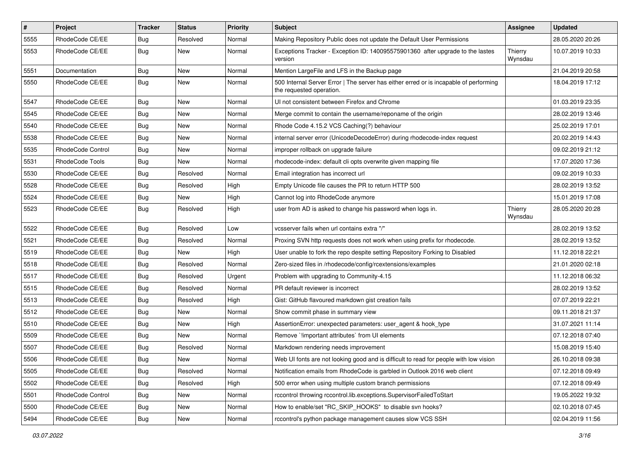| $\pmb{\#}$ | Project                | <b>Tracker</b> | <b>Status</b> | <b>Priority</b> | <b>Subject</b>                                                                                                    | <b>Assignee</b>    | <b>Updated</b>   |
|------------|------------------------|----------------|---------------|-----------------|-------------------------------------------------------------------------------------------------------------------|--------------------|------------------|
| 5555       | RhodeCode CE/EE        | <b>Bug</b>     | Resolved      | Normal          | Making Repository Public does not update the Default User Permissions                                             |                    | 28.05.2020 20:26 |
| 5553       | RhodeCode CE/EE        | Bug            | New           | Normal          | Exceptions Tracker - Exception ID: 140095575901360 after upgrade to the lastes<br>version                         | Thierry<br>Wynsdau | 10.07.2019 10:33 |
| 5551       | Documentation          | Bug            | New           | Normal          | Mention LargeFile and LFS in the Backup page                                                                      |                    | 21.04.2019 20:58 |
| 5550       | RhodeCode CE/EE        | Bug            | New           | Normal          | 500 Internal Server Error   The server has either erred or is incapable of performing<br>the requested operation. |                    | 18.04.2019 17:12 |
| 5547       | RhodeCode CE/EE        | Bug            | New           | Normal          | UI not consistent between Firefox and Chrome                                                                      |                    | 01.03.2019 23:35 |
| 5545       | RhodeCode CE/EE        | Bug            | <b>New</b>    | Normal          | Merge commit to contain the username/reponame of the origin                                                       |                    | 28.02.2019 13:46 |
| 5540       | RhodeCode CE/EE        | <b>Bug</b>     | New           | Normal          | Rhode Code 4.15.2 VCS Caching(?) behaviour                                                                        |                    | 25.02.2019 17:01 |
| 5538       | RhodeCode CE/EE        | <b>Bug</b>     | New           | Normal          | internal server error (UnicodeDecodeError) during rhodecode-index request                                         |                    | 20.02.2019 14:43 |
| 5535       | RhodeCode Control      | <b>Bug</b>     | New           | Normal          | improper rollback on upgrade failure                                                                              |                    | 09.02.2019 21:12 |
| 5531       | <b>RhodeCode Tools</b> | <b>Bug</b>     | New           | Normal          | rhodecode-index: default cli opts overwrite given mapping file                                                    |                    | 17.07.2020 17:36 |
| 5530       | RhodeCode CE/EE        | Bug            | Resolved      | Normal          | Email integration has incorrect url                                                                               |                    | 09.02.2019 10:33 |
| 5528       | RhodeCode CE/EE        | <b>Bug</b>     | Resolved      | High            | Empty Unicode file causes the PR to return HTTP 500                                                               |                    | 28.02.2019 13:52 |
| 5524       | RhodeCode CE/EE        | <b>Bug</b>     | New           | High            | Cannot log into RhodeCode anymore                                                                                 |                    | 15.01.2019 17:08 |
| 5523       | RhodeCode CE/EE        | Bug            | Resolved      | High            | user from AD is asked to change his password when logs in.                                                        | Thierry<br>Wynsdau | 28.05.2020 20:28 |
| 5522       | RhodeCode CE/EE        | Bug            | Resolved      | Low             | vcsserver fails when url contains extra "/"                                                                       |                    | 28.02.2019 13:52 |
| 5521       | RhodeCode CE/EE        | Bug            | Resolved      | Normal          | Proxing SVN http requests does not work when using prefix for rhodecode.                                          |                    | 28.02.2019 13:52 |
| 5519       | RhodeCode CE/EE        | <b>Bug</b>     | New           | High            | User unable to fork the repo despite setting Repository Forking to Disabled                                       |                    | 11.12.2018 22:21 |
| 5518       | RhodeCode CE/EE        | Bug            | Resolved      | Normal          | Zero-sized files in /rhodecode/config/rcextensions/examples                                                       |                    | 21.01.2020 02:18 |
| 5517       | RhodeCode CE/EE        | <b>Bug</b>     | Resolved      | Urgent          | Problem with upgrading to Community-4.15                                                                          |                    | 11.12.2018 06:32 |
| 5515       | RhodeCode CE/EE        | <b>Bug</b>     | Resolved      | Normal          | PR default reviewer is incorrect                                                                                  |                    | 28.02.2019 13:52 |
| 5513       | RhodeCode CE/EE        | <b>Bug</b>     | Resolved      | High            | Gist: GitHub flavoured markdown gist creation fails                                                               |                    | 07.07.2019 22:21 |
| 5512       | RhodeCode CE/EE        | <b>Bug</b>     | New           | Normal          | Show commit phase in summary view                                                                                 |                    | 09.11.2018 21:37 |
| 5510       | RhodeCode CE/EE        | Bug            | New           | High            | AssertionError: unexpected parameters: user_agent & hook_type                                                     |                    | 31.07.2021 11:14 |
| 5509       | RhodeCode CE/EE        | Bug            | New           | Normal          | Remove `!important attributes` from UI elements                                                                   |                    | 07.12.2018 07:40 |
| 5507       | RhodeCode CE/EE        | <b>Bug</b>     | Resolved      | Normal          | Markdown rendering needs improvement                                                                              |                    | 15.08.2019 15:40 |
| 5506       | RhodeCode CE/EE        | Bug            | New           | Normal          | Web UI fonts are not looking good and is difficult to read for people with low vision                             |                    | 26.10.2018 09:38 |
| 5505       | RhodeCode CE/EE        | Bug            | Resolved      | Normal          | Notification emails from RhodeCode is garbled in Outlook 2016 web client                                          |                    | 07.12.2018 09:49 |
| 5502       | RhodeCode CE/EE        | Bug            | Resolved      | High            | 500 error when using multiple custom branch permissions                                                           |                    | 07.12.2018 09:49 |
| 5501       | RhodeCode Control      | Bug            | New           | Normal          | rccontrol throwing rccontrol.lib.exceptions.SupervisorFailedToStart                                               |                    | 19.05.2022 19:32 |
| 5500       | RhodeCode CE/EE        | Bug            | New           | Normal          | How to enable/set "RC_SKIP_HOOKS" to disable svn hooks?                                                           |                    | 02.10.2018 07:45 |
| 5494       | RhodeCode CE/EE        | <b>Bug</b>     | New           | Normal          | rccontrol's python package management causes slow VCS SSH                                                         |                    | 02.04.2019 11:56 |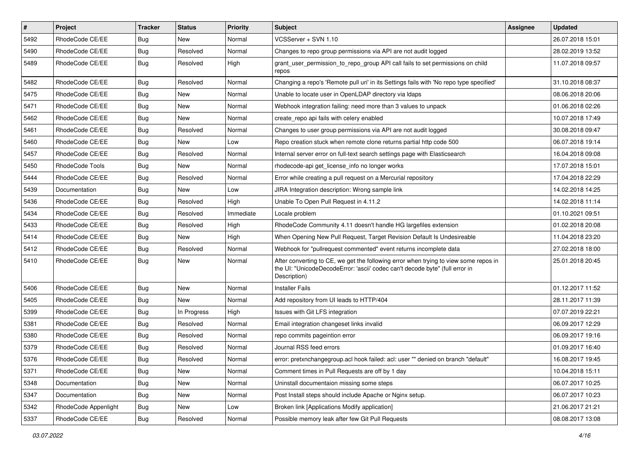| $\vert$ # | Project              | <b>Tracker</b> | <b>Status</b> | <b>Priority</b> | <b>Subject</b>                                                                                                                                                                       | Assignee | <b>Updated</b>   |
|-----------|----------------------|----------------|---------------|-----------------|--------------------------------------------------------------------------------------------------------------------------------------------------------------------------------------|----------|------------------|
| 5492      | RhodeCode CE/EE      | <b>Bug</b>     | New           | Normal          | VCSServer + SVN 1.10                                                                                                                                                                 |          | 26.07.2018 15:01 |
| 5490      | RhodeCode CE/EE      | Bug            | Resolved      | Normal          | Changes to repo group permissions via API are not audit logged                                                                                                                       |          | 28.02.2019 13:52 |
| 5489      | RhodeCode CE/EE      | Bug            | Resolved      | High            | grant_user_permission_to_repo_group API call fails to set permissions on child<br>repos                                                                                              |          | 11.07.2018 09:57 |
| 5482      | RhodeCode CE/EE      | Bug            | Resolved      | Normal          | Changing a repo's 'Remote pull uri' in its Settings fails with 'No repo type specified'                                                                                              |          | 31.10.2018 08:37 |
| 5475      | RhodeCode CE/EE      | <b>Bug</b>     | New           | Normal          | Unable to locate user in OpenLDAP directory via Idaps                                                                                                                                |          | 08.06.2018 20:06 |
| 5471      | RhodeCode CE/EE      | Bug            | New           | Normal          | Webhook integration failing: need more than 3 values to unpack                                                                                                                       |          | 01.06.2018 02:26 |
| 5462      | RhodeCode CE/EE      | <b>Bug</b>     | New           | Normal          | create_repo api fails with celery enabled                                                                                                                                            |          | 10.07.2018 17:49 |
| 5461      | RhodeCode CE/EE      | Bug            | Resolved      | Normal          | Changes to user group permissions via API are not audit logged                                                                                                                       |          | 30.08.2018 09:47 |
| 5460      | RhodeCode CE/EE      | <b>Bug</b>     | New           | Low             | Repo creation stuck when remote clone returns partial http code 500                                                                                                                  |          | 06.07.2018 19:14 |
| 5457      | RhodeCode CE/EE      | Bug            | Resolved      | Normal          | Internal server error on full-text search settings page with Elasticsearch                                                                                                           |          | 16.04.2018 09:08 |
| 5450      | RhodeCode Tools      | <b>Bug</b>     | New           | Normal          | rhodecode-api get_license_info no longer works                                                                                                                                       |          | 17.07.2018 15:01 |
| 5444      | RhodeCode CE/EE      | <b>Bug</b>     | Resolved      | Normal          | Error while creating a pull request on a Mercurial repository                                                                                                                        |          | 17.04.2018 22:29 |
| 5439      | Documentation        | <b>Bug</b>     | New           | Low             | JIRA Integration description: Wrong sample link                                                                                                                                      |          | 14.02.2018 14:25 |
| 5436      | RhodeCode CE/EE      | <b>Bug</b>     | Resolved      | High            | Unable To Open Pull Request in 4.11.2                                                                                                                                                |          | 14.02.2018 11:14 |
| 5434      | RhodeCode CE/EE      | <b>Bug</b>     | Resolved      | Immediate       | Locale problem                                                                                                                                                                       |          | 01.10.2021 09:51 |
| 5433      | RhodeCode CE/EE      | <b>Bug</b>     | Resolved      | High            | RhodeCode Community 4.11 doesn't handle HG largefiles extension                                                                                                                      |          | 01.02.2018 20:08 |
| 5414      | RhodeCode CE/EE      | Bug            | <b>New</b>    | High            | When Opening New Pull Request, Target Revision Default Is Undesireable                                                                                                               |          | 11.04.2018 23:20 |
| 5412      | RhodeCode CE/EE      | Bug            | Resolved      | Normal          | Webhook for "pullrequest commented" event returns incomplete data                                                                                                                    |          | 27.02.2018 18:00 |
| 5410      | RhodeCode CE/EE      | Bug            | New           | Normal          | After converting to CE, we get the following error when trying to view some repos in<br>the UI: "UnicodeDecodeError: 'ascii' codec can't decode byte" (full error in<br>Description) |          | 25.01.2018 20:45 |
| 5406      | RhodeCode CE/EE      | <b>Bug</b>     | <b>New</b>    | Normal          | <b>Installer Fails</b>                                                                                                                                                               |          | 01.12.2017 11:52 |
| 5405      | RhodeCode CE/EE      | Bug            | New           | Normal          | Add repository from UI leads to HTTP/404                                                                                                                                             |          | 28.11.2017 11:39 |
| 5399      | RhodeCode CE/EE      | <b>Bug</b>     | In Progress   | High            | Issues with Git LFS integration                                                                                                                                                      |          | 07.07.2019 22:21 |
| 5381      | RhodeCode CE/EE      | <b>Bug</b>     | Resolved      | Normal          | Email integration changeset links invalid                                                                                                                                            |          | 06.09.2017 12:29 |
| 5380      | RhodeCode CE/EE      | <b>Bug</b>     | Resolved      | Normal          | repo commits pageintion error                                                                                                                                                        |          | 06.09.2017 19:16 |
| 5379      | RhodeCode CE/EE      | <b>Bug</b>     | Resolved      | Normal          | Journal RSS feed errors                                                                                                                                                              |          | 01.09.2017 16:40 |
| 5376      | RhodeCode CE/EE      | Bug            | Resolved      | Normal          | error: pretxnchangegroup.acl hook failed: acl: user "" denied on branch "default"                                                                                                    |          | 16.08.2017 19:45 |
| 5371      | RhodeCode CE/EE      | <b>Bug</b>     | New           | Normal          | Comment times in Pull Requests are off by 1 day                                                                                                                                      |          | 10.04.2018 15:11 |
| 5348      | Documentation        | <b>Bug</b>     | New           | Normal          | Uninstall documentaion missing some steps                                                                                                                                            |          | 06.07.2017 10:25 |
| 5347      | Documentation        | <b>Bug</b>     | New           | Normal          | Post Install steps should include Apache or Nginx setup.                                                                                                                             |          | 06.07.2017 10:23 |
| 5342      | RhodeCode Appenlight | Bug            | New           | Low             | Broken link [Applications Modify application]                                                                                                                                        |          | 21.06.2017 21:21 |
| 5337      | RhodeCode CE/EE      | <b>Bug</b>     | Resolved      | Normal          | Possible memory leak after few Git Pull Requests                                                                                                                                     |          | 08.08.2017 13:08 |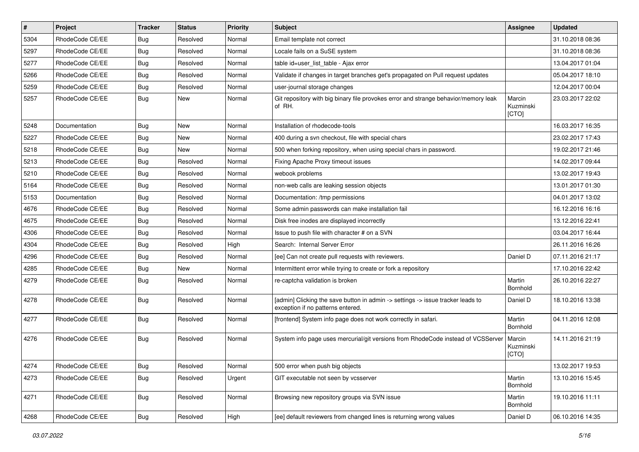| #    | Project         | <b>Tracker</b> | <b>Status</b> | <b>Priority</b> | <b>Subject</b>                                                                                                       | <b>Assignee</b>              | <b>Updated</b>   |
|------|-----------------|----------------|---------------|-----------------|----------------------------------------------------------------------------------------------------------------------|------------------------------|------------------|
| 5304 | RhodeCode CE/EE | Bug            | Resolved      | Normal          | Email template not correct                                                                                           |                              | 31.10.2018 08:36 |
| 5297 | RhodeCode CE/EE | Bug            | Resolved      | Normal          | Locale fails on a SuSE system                                                                                        |                              | 31.10.2018 08:36 |
| 5277 | RhodeCode CE/EE | Bug            | Resolved      | Normal          | table id=user_list_table - Ajax error                                                                                |                              | 13.04.2017 01:04 |
| 5266 | RhodeCode CE/EE | Bug            | Resolved      | Normal          | Validate if changes in target branches get's propagated on Pull request updates                                      |                              | 05.04.2017 18:10 |
| 5259 | RhodeCode CE/EE | Bug            | Resolved      | Normal          | user-journal storage changes                                                                                         |                              | 12.04.2017 00:04 |
| 5257 | RhodeCode CE/EE | Bug            | New           | Normal          | Git repository with big binary file provokes error and strange behavior/memory leak<br>of RH.                        | Marcin<br>Kuzminski<br>[CTO] | 23.03.2017 22:02 |
| 5248 | Documentation   | Bug            | New           | Normal          | Installation of rhodecode-tools                                                                                      |                              | 16.03.2017 16:35 |
| 5227 | RhodeCode CE/EE | Bug            | New           | Normal          | 400 during a svn checkout, file with special chars                                                                   |                              | 23.02.2017 17:43 |
| 5218 | RhodeCode CE/EE | Bug            | New           | Normal          | 500 when forking repository, when using special chars in password.                                                   |                              | 19.02.2017 21:46 |
| 5213 | RhodeCode CE/EE | Bug            | Resolved      | Normal          | Fixing Apache Proxy timeout issues                                                                                   |                              | 14.02.2017 09:44 |
| 5210 | RhodeCode CE/EE | Bug            | Resolved      | Normal          | webook problems                                                                                                      |                              | 13.02.2017 19:43 |
| 5164 | RhodeCode CE/EE | Bug            | Resolved      | Normal          | non-web calls are leaking session objects                                                                            |                              | 13.01.2017 01:30 |
| 5153 | Documentation   | Bug            | Resolved      | Normal          | Documentation: /tmp permissions                                                                                      |                              | 04.01.2017 13:02 |
| 4676 | RhodeCode CE/EE | Bug            | Resolved      | Normal          | Some admin passwords can make installation fail                                                                      |                              | 16.12.2016 16:16 |
| 4675 | RhodeCode CE/EE | Bug            | Resolved      | Normal          | Disk free inodes are displayed incorrectly                                                                           |                              | 13.12.2016 22:41 |
| 4306 | RhodeCode CE/EE | Bug            | Resolved      | Normal          | Issue to push file with character # on a SVN                                                                         |                              | 03.04.2017 16:44 |
| 4304 | RhodeCode CE/EE | Bug            | Resolved      | High            | Search: Internal Server Error                                                                                        |                              | 26.11.2016 16:26 |
| 4296 | RhodeCode CE/EE | Bug            | Resolved      | Normal          | [ee] Can not create pull requests with reviewers.                                                                    | Daniel D                     | 07.11.2016 21:17 |
| 4285 | RhodeCode CE/EE | Bug            | <b>New</b>    | Normal          | Intermittent error while trying to create or fork a repository                                                       |                              | 17.10.2016 22:42 |
| 4279 | RhodeCode CE/EE | Bug            | Resolved      | Normal          | re-captcha validation is broken                                                                                      | Martin<br><b>Bornhold</b>    | 26.10.2016 22:27 |
| 4278 | RhodeCode CE/EE | Bug            | Resolved      | Normal          | [admin] Clicking the save button in admin -> settings -> issue tracker leads to<br>exception if no patterns entered. | Daniel D                     | 18.10.2016 13:38 |
| 4277 | RhodeCode CE/EE | Bug            | Resolved      | Normal          | [frontend] System info page does not work correctly in safari.                                                       | Martin<br>Bornhold           | 04.11.2016 12:08 |
| 4276 | RhodeCode CE/EE | Bug            | Resolved      | Normal          | System info page uses mercurial/git versions from RhodeCode instead of VCSServer                                     | Marcin<br>Kuzminski<br>[CTO] | 14.11.2016 21:19 |
| 4274 | RhodeCode CE/EE | Bug            | Resolved      | Normal          | 500 error when push big objects                                                                                      |                              | 13.02.2017 19:53 |
| 4273 | RhodeCode CE/EE | Bug            | Resolved      | Urgent          | GIT executable not seen by vcsserver                                                                                 | Martin<br>Bornhold           | 13.10.2016 15:45 |
| 4271 | RhodeCode CE/EE | Bug            | Resolved      | Normal          | Browsing new repository groups via SVN issue                                                                         | Martin<br>Bornhold           | 19.10.2016 11:11 |
| 4268 | RhodeCode CE/EE | <b>Bug</b>     | Resolved      | High            | [ee] default reviewers from changed lines is returning wrong values                                                  | Daniel D                     | 06.10.2016 14:35 |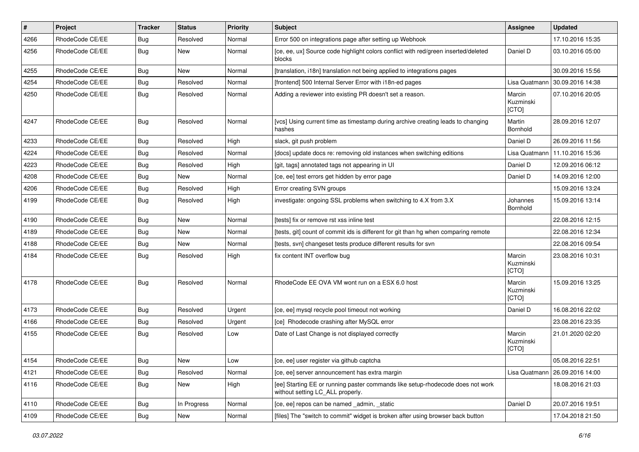| $\vert$ # | Project         | <b>Tracker</b> | <b>Status</b> | <b>Priority</b> | <b>Subject</b>                                                                                                     | <b>Assignee</b>              | <b>Updated</b>   |
|-----------|-----------------|----------------|---------------|-----------------|--------------------------------------------------------------------------------------------------------------------|------------------------------|------------------|
| 4266      | RhodeCode CE/EE | <b>Bug</b>     | Resolved      | Normal          | Error 500 on integrations page after setting up Webhook                                                            |                              | 17.10.2016 15:35 |
| 4256      | RhodeCode CE/EE | <b>Bug</b>     | New           | Normal          | [ce, ee, ux] Source code highlight colors conflict with red/green inserted/deleted<br>blocks                       | Daniel D                     | 03.10.2016 05:00 |
| 4255      | RhodeCode CE/EE | <b>Bug</b>     | New           | Normal          | [translation, i18n] translation not being applied to integrations pages                                            |                              | 30.09.2016 15:56 |
| 4254      | RhodeCode CE/EE | Bug            | Resolved      | Normal          | [frontend] 500 Internal Server Error with i18n-ed pages                                                            | Lisa Quatmann                | 30.09.2016 14:38 |
| 4250      | RhodeCode CE/EE | <b>Bug</b>     | Resolved      | Normal          | Adding a reviewer into existing PR doesn't set a reason.                                                           | Marcin<br>Kuzminski<br>[CTO] | 07.10.2016 20:05 |
| 4247      | RhodeCode CE/EE | <b>Bug</b>     | Resolved      | Normal          | [vcs] Using current time as timestamp during archive creating leads to changing<br>hashes                          | Martin<br>Bornhold           | 28.09.2016 12:07 |
| 4233      | RhodeCode CE/EE | <b>Bug</b>     | Resolved      | High            | slack, git push problem                                                                                            | Daniel D                     | 26.09.2016 11:56 |
| 4224      | RhodeCode CE/EE | <b>Bug</b>     | Resolved      | Normal          | [docs] update docs re: removing old instances when switching editions                                              | Lisa Quatmann                | 11.10.2016 15:36 |
| 4223      | RhodeCode CE/EE | Bug            | Resolved      | High            | [git, tags] annotated tags not appearing in UI                                                                     | Daniel D                     | 12.09.2016 06:12 |
| 4208      | RhodeCode CE/EE | <b>Bug</b>     | New           | Normal          | [ce, ee] test errors get hidden by error page                                                                      | Daniel D                     | 14.09.2016 12:00 |
| 4206      | RhodeCode CE/EE | <b>Bug</b>     | Resolved      | High            | Error creating SVN groups                                                                                          |                              | 15.09.2016 13:24 |
| 4199      | RhodeCode CE/EE | <b>Bug</b>     | Resolved      | High            | investigate: ongoing SSL problems when switching to 4.X from 3.X                                                   | Johannes<br>Bornhold         | 15.09.2016 13:14 |
| 4190      | RhodeCode CE/EE | Bug            | New           | Normal          | [tests] fix or remove rst xss inline test                                                                          |                              | 22.08.2016 12:15 |
| 4189      | RhodeCode CE/EE | <b>Bug</b>     | New           | Normal          | [tests, git] count of commit ids is different for git than hg when comparing remote                                |                              | 22.08.2016 12:34 |
| 4188      | RhodeCode CE/EE | <b>Bug</b>     | New           | Normal          | [tests, svn] changeset tests produce different results for svn                                                     |                              | 22.08.2016 09:54 |
| 4184      | RhodeCode CE/EE | Bug            | Resolved      | High            | fix content INT overflow bug                                                                                       | Marcin<br>Kuzminski<br>[CTO] | 23.08.2016 10:31 |
| 4178      | RhodeCode CE/EE | Bug            | Resolved      | Normal          | RhodeCode EE OVA VM wont run on a ESX 6.0 host                                                                     | Marcin<br>Kuzminski<br>[CTO] | 15.09.2016 13:25 |
| 4173      | RhodeCode CE/EE | Bug            | Resolved      | Urgent          | [ce, ee] mysql recycle pool timeout not working                                                                    | Daniel D                     | 16.08.2016 22:02 |
| 4166      | RhodeCode CE/EE | <b>Bug</b>     | Resolved      | Urgent          | [ce] Rhodecode crashing after MySQL error                                                                          |                              | 23.08.2016 23:35 |
| 4155      | RhodeCode CE/EE | Bug            | Resolved      | Low             | Date of Last Change is not displayed correctly                                                                     | Marcin<br>Kuzminski<br>[CTO] | 21.01.2020 02:20 |
| 4154      | RhodeCode CE/EE | <b>Bug</b>     | New           | Low             | [ce, ee] user register via github captcha                                                                          |                              | 05.08.2016 22:51 |
| 4121      | RhodeCode CE/EE | Bug            | Resolved      | Normal          | [ce, ee] server announcement has extra margin                                                                      | Lisa Quatmann                | 26.09.2016 14:00 |
| 4116      | RhodeCode CE/EE | Bug            | New           | High            | [ee] Starting EE or running paster commands like setup-rhodecode does not work<br>without setting LC_ALL properly. |                              | 18.08.2016 21:03 |
| 4110      | RhodeCode CE/EE | <b>Bug</b>     | In Progress   | Normal          | [ce, ee] repos can be named _admin, _static                                                                        | Daniel D                     | 20.07.2016 19:51 |
| 4109      | RhodeCode CE/EE | <b>Bug</b>     | New           | Normal          | [files] The "switch to commit" widget is broken after using browser back button                                    |                              | 17.04.2018 21:50 |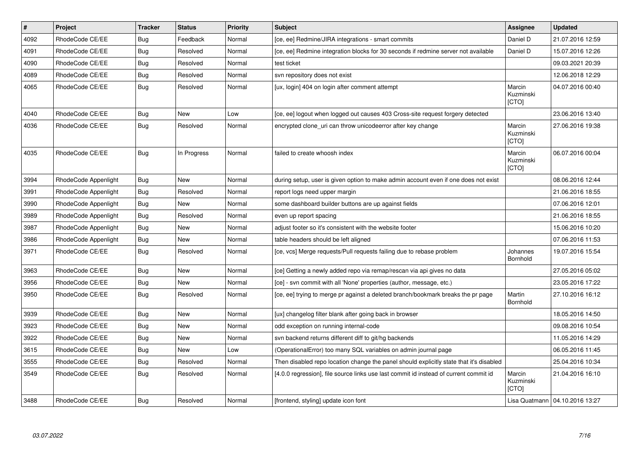| $\vert$ # | <b>Project</b>       | <b>Tracker</b> | <b>Status</b> | <b>Priority</b> | <b>Subject</b>                                                                          | <b>Assignee</b>                     | <b>Updated</b>                   |
|-----------|----------------------|----------------|---------------|-----------------|-----------------------------------------------------------------------------------------|-------------------------------------|----------------------------------|
| 4092      | RhodeCode CE/EE      | <b>Bug</b>     | Feedback      | Normal          | [ce, ee] Redmine/JIRA integrations - smart commits                                      | Daniel D                            | 21.07.2016 12:59                 |
| 4091      | RhodeCode CE/EE      | Bug            | Resolved      | Normal          | [ce, ee] Redmine integration blocks for 30 seconds if redmine server not available      | Daniel D                            | 15.07.2016 12:26                 |
| 4090      | RhodeCode CE/EE      | Bug            | Resolved      | Normal          | test ticket                                                                             |                                     | 09.03.2021 20:39                 |
| 4089      | RhodeCode CE/EE      | <b>Bug</b>     | Resolved      | Normal          | svn repository does not exist                                                           |                                     | 12.06.2018 12:29                 |
| 4065      | RhodeCode CE/EE      | <b>Bug</b>     | Resolved      | Normal          | [ux, login] 404 on login after comment attempt                                          | Marcin<br>Kuzminski<br>[CTO]        | 04.07.2016 00:40                 |
| 4040      | RhodeCode CE/EE      | Bug            | <b>New</b>    | Low             | [ce, ee] logout when logged out causes 403 Cross-site request forgery detected          |                                     | 23.06.2016 13:40                 |
| 4036      | RhodeCode CE/EE      | Bug            | Resolved      | Normal          | encrypted clone_uri can throw unicodeerror after key change                             | Marcin<br>Kuzminski<br><b>ICTOI</b> | 27.06.2016 19:38                 |
| 4035      | RhodeCode CE/EE      | Bug            | In Progress   | Normal          | failed to create whoosh index                                                           | Marcin<br>Kuzminski<br>[CTO]        | 06.07.2016 00:04                 |
| 3994      | RhodeCode Appenlight | <b>Bug</b>     | <b>New</b>    | Normal          | during setup, user is given option to make admin account even if one does not exist     |                                     | 08.06.2016 12:44                 |
| 3991      | RhodeCode Appenlight | Bug            | Resolved      | Normal          | report logs need upper margin                                                           |                                     | 21.06.2016 18:55                 |
| 3990      | RhodeCode Appenlight | Bug            | <b>New</b>    | Normal          | some dashboard builder buttons are up against fields                                    |                                     | 07.06.2016 12:01                 |
| 3989      | RhodeCode Appenlight | Bug            | Resolved      | Normal          | even up report spacing                                                                  |                                     | 21.06.2016 18:55                 |
| 3987      | RhodeCode Appenlight | Bug            | <b>New</b>    | Normal          | adjust footer so it's consistent with the website footer                                |                                     | 15.06.2016 10:20                 |
| 3986      | RhodeCode Appenlight | <b>Bug</b>     | <b>New</b>    | Normal          | table headers should be left aligned                                                    |                                     | 07.06.2016 11:53                 |
| 3971      | RhodeCode CE/EE      | Bug            | Resolved      | Normal          | [ce, vcs] Merge requests/Pull requests failing due to rebase problem                    | Johannes<br>Bornhold                | 19.07.2016 15:54                 |
| 3963      | RhodeCode CE/EE      | Bug            | <b>New</b>    | Normal          | [ce] Getting a newly added repo via remap/rescan via api gives no data                  |                                     | 27.05.2016 05:02                 |
| 3956      | RhodeCode CE/EE      | <b>Bug</b>     | <b>New</b>    | Normal          | [ce] - svn commit with all 'None' properties (author, message, etc.)                    |                                     | 23.05.2016 17:22                 |
| 3950      | RhodeCode CE/EE      | Bug            | Resolved      | Normal          | [ce, ee] trying to merge pr against a deleted branch/bookmark breaks the pr page        | Martin<br><b>Bornhold</b>           | 27.10.2016 16:12                 |
| 3939      | RhodeCode CE/EE      | <b>Bug</b>     | <b>New</b>    | Normal          | [ux] changelog filter blank after going back in browser                                 |                                     | 18.05.2016 14:50                 |
| 3923      | RhodeCode CE/EE      | Bug            | New           | Normal          | odd exception on running internal-code                                                  |                                     | 09.08.2016 10:54                 |
| 3922      | RhodeCode CE/EE      | <b>Bug</b>     | New           | Normal          | svn backend returns different diff to git/hg backends                                   |                                     | 11.05.2016 14:29                 |
| 3615      | RhodeCode CE/EE      | Bug            | New           | Low             | (OperationalError) too many SQL variables on admin journal page                         |                                     | 06.05.2016 11:45                 |
| 3555      | RhodeCode CE/EE      | Bug            | Resolved      | Normal          | Then disabled repo location change the panel should explicitly state that it's disabled |                                     | 25.04.2016 10:34                 |
| 3549      | RhodeCode CE/EE      | <b>Bug</b>     | Resolved      | Normal          | [4.0.0 regression], file source links use last commit id instead of current commit id   | Marcin<br>Kuzminski<br><b>ICTOI</b> | 21.04.2016 16:10                 |
| 3488      | RhodeCode CE/EE      | Bug            | Resolved      | Normal          | [frontend, styling] update icon font                                                    |                                     | Lisa Quatmann   04.10.2016 13:27 |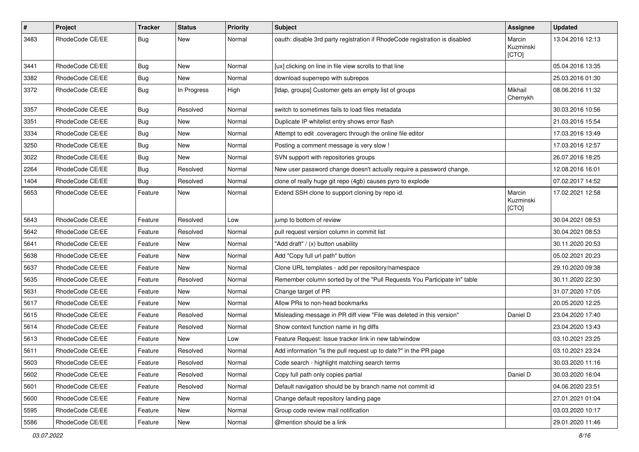| #    | Project         | <b>Tracker</b> | <b>Status</b> | <b>Priority</b> | Subject                                                                     | Assignee                     | <b>Updated</b>   |
|------|-----------------|----------------|---------------|-----------------|-----------------------------------------------------------------------------|------------------------------|------------------|
| 3483 | RhodeCode CE/EE | <b>Bug</b>     | New           | Normal          | oauth: disable 3rd party registration if RhodeCode registration is disabled | Marcin<br>Kuzminski<br>[CTO] | 13.04.2016 12:13 |
| 3441 | RhodeCode CE/EE | Bug            | New           | Normal          | [ux] clicking on line in file view scrolls to that line                     |                              | 05.04.2016 13:35 |
| 3382 | RhodeCode CE/EE | Bug            | New           | Normal          | download superrepo with subrepos                                            |                              | 25.03.2016 01:30 |
| 3372 | RhodeCode CE/EE | Bug            | In Progress   | High            | [Idap, groups] Customer gets an empty list of groups                        | Mikhail<br>Chernykh          | 08.06.2016 11:32 |
| 3357 | RhodeCode CE/EE | Bug            | Resolved      | Normal          | switch to sometimes fails to load files metadata                            |                              | 30.03.2016 10:56 |
| 3351 | RhodeCode CE/EE | Bug            | New           | Normal          | Duplicate IP whitelist entry shows error flash                              |                              | 21.03.2016 15:54 |
| 3334 | RhodeCode CE/EE | <b>Bug</b>     | New           | Normal          | Attempt to edit .coveragerc through the online file editor                  |                              | 17.03.2016 13:49 |
| 3250 | RhodeCode CE/EE | Bug            | New           | Normal          | Posting a comment message is very slow !                                    |                              | 17.03.2016 12:57 |
| 3022 | RhodeCode CE/EE | Bug            | New           | Normal          | SVN support with repositories groups                                        |                              | 26.07.2016 18:25 |
| 2264 | RhodeCode CE/EE | Bug            | Resolved      | Normal          | New user password change doesn't actually require a password change.        |                              | 12.08.2016 16:01 |
| 1404 | RhodeCode CE/EE | Bug            | Resolved      | Normal          | clone of really huge git repo (4gb) causes pyro to explode                  |                              | 07.02.2017 14:52 |
| 5653 | RhodeCode CE/EE | Feature        | New           | Normal          | Extend SSH clone to support cloning by repo id.                             | Marcin<br>Kuzminski<br>[CTO] | 17.02.2021 12:58 |
| 5643 | RhodeCode CE/EE | Feature        | Resolved      | Low             | jump to bottom of review                                                    |                              | 30.04.2021 08:53 |
| 5642 | RhodeCode CE/EE | Feature        | Resolved      | Normal          | pull request version column in commit list                                  |                              | 30.04.2021 08:53 |
| 5641 | RhodeCode CE/EE | Feature        | New           | Normal          | "Add draft" / (x) button usability                                          |                              | 30.11.2020 20:53 |
| 5638 | RhodeCode CE/EE | Feature        | New           | Normal          | Add "Copy full url path" button                                             |                              | 05.02.2021 20:23 |
| 5637 | RhodeCode CE/EE | Feature        | New           | Normal          | Clone URL templates - add per repository/namespace                          |                              | 29.10.2020 09:38 |
| 5635 | RhodeCode CE/EE | Feature        | Resolved      | Normal          | Remember column sorted by of the "Pull Requests You Participate In" table   |                              | 30.11.2020 22:30 |
| 5631 | RhodeCode CE/EE | Feature        | New           | Normal          | Change target of PR                                                         |                              | 31.07.2020 17:05 |
| 5617 | RhodeCode CE/EE | Feature        | New           | Normal          | Allow PRs to non-head bookmarks                                             |                              | 20.05.2020 12:25 |
| 5615 | RhodeCode CE/EE | Feature        | Resolved      | Normal          | Misleading message in PR diff view "File was deleted in this version"       | Daniel D                     | 23.04.2020 17:40 |
| 5614 | RhodeCode CE/EE | Feature        | Resolved      | Normal          | Show context function name in hg diffs                                      |                              | 23.04.2020 13:43 |
| 5613 | RhodeCode CE/EE | Feature        | New           | Low             | Feature Request: Issue tracker link in new tab/window                       |                              | 03.10.2021 23:25 |
| 5611 | RhodeCode CE/EE | Feature        | Resolved      | Normal          | Add information "is the pull request up to date?" in the PR page            |                              | 03.10.2021 23:24 |
| 5603 | RhodeCode CE/EE | Feature        | Resolved      | Normal          | Code search - highlight matching search terms                               |                              | 30.03.2020 11:16 |
| 5602 | RhodeCode CE/EE | Feature        | Resolved      | Normal          | Copy full path only copies partial                                          | Daniel D                     | 30.03.2020 16:04 |
| 5601 | RhodeCode CE/EE | Feature        | Resolved      | Normal          | Default navigation should be by branch name not commit id                   |                              | 04.06.2020 23:51 |
| 5600 | RhodeCode CE/EE | Feature        | New           | Normal          | Change default repository landing page                                      |                              | 27.01.2021 01:04 |
| 5595 | RhodeCode CE/EE | Feature        | New           | Normal          | Group code review mail notification                                         |                              | 03.03.2020 10:17 |
| 5586 | RhodeCode CE/EE | Feature        | New           | Normal          | @mention should be a link                                                   |                              | 29.01.2020 11:46 |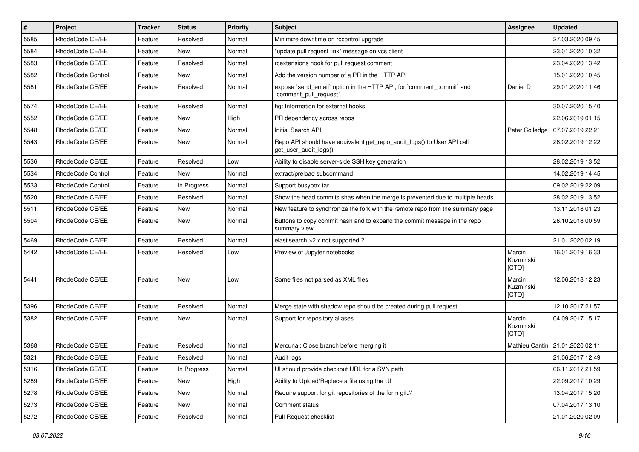| $\vert$ # | Project           | Tracker | <b>Status</b> | <b>Priority</b> | Subject                                                                                         | Assignee                     | <b>Updated</b>                    |
|-----------|-------------------|---------|---------------|-----------------|-------------------------------------------------------------------------------------------------|------------------------------|-----------------------------------|
| 5585      | RhodeCode CE/EE   | Feature | Resolved      | Normal          | Minimize downtime on rccontrol upgrade                                                          |                              | 27.03.2020 09:45                  |
| 5584      | RhodeCode CE/EE   | Feature | <b>New</b>    | Normal          | "update pull request link" message on vcs client                                                |                              | 23.01.2020 10:32                  |
| 5583      | RhodeCode CE/EE   | Feature | Resolved      | Normal          | rcextensions hook for pull request comment                                                      |                              | 23.04.2020 13:42                  |
| 5582      | RhodeCode Control | Feature | New           | Normal          | Add the version number of a PR in the HTTP API                                                  |                              | 15.01.2020 10:45                  |
| 5581      | RhodeCode CE/EE   | Feature | Resolved      | Normal          | expose `send_email` option in the HTTP API, for `comment_commit` and<br>`comment pull request`  | Daniel D                     | 29.01.2020 11:46                  |
| 5574      | RhodeCode CE/EE   | Feature | Resolved      | Normal          | hg: Information for external hooks                                                              |                              | 30.07.2020 15:40                  |
| 5552      | RhodeCode CE/EE   | Feature | New           | High            | PR dependency across repos                                                                      |                              | 22.06.2019 01:15                  |
| 5548      | RhodeCode CE/EE   | Feature | New           | Normal          | Initial Search API                                                                              | Peter Colledge               | 07.07.2019 22:21                  |
| 5543      | RhodeCode CE/EE   | Feature | New           | Normal          | Repo API should have equivalent get_repo_audit_logs() to User API call<br>get_user_audit_logs() |                              | 26.02.2019 12:22                  |
| 5536      | RhodeCode CE/EE   | Feature | Resolved      | Low             | Ability to disable server-side SSH key generation                                               |                              | 28.02.2019 13:52                  |
| 5534      | RhodeCode Control | Feature | <b>New</b>    | Normal          | extract/preload subcommand                                                                      |                              | 14.02.2019 14:45                  |
| 5533      | RhodeCode Control | Feature | In Progress   | Normal          | Support busybox tar                                                                             |                              | 09.02.2019 22:09                  |
| 5520      | RhodeCode CE/EE   | Feature | Resolved      | Normal          | Show the head commits shas when the merge is prevented due to multiple heads                    |                              | 28.02.2019 13:52                  |
| 5511      | RhodeCode CE/EE   | Feature | New           | Normal          | New feature to synchronize the fork with the remote repo from the summary page                  |                              | 13.11.2018 01:23                  |
| 5504      | RhodeCode CE/EE   | Feature | New           | Normal          | Buttons to copy commit hash and to expand the commit message in the repo<br>summary view        |                              | 26.10.2018 00:59                  |
| 5469      | RhodeCode CE/EE   | Feature | Resolved      | Normal          | elastisearch > 2.x not supported ?                                                              |                              | 21.01.2020 02:19                  |
| 5442      | RhodeCode CE/EE   | Feature | Resolved      | Low             | Preview of Jupyter notebooks                                                                    | Marcin<br>Kuzminski<br>[CTO] | 16.01.2019 16:33                  |
| 5441      | RhodeCode CE/EE   | Feature | New           | Low             | Some files not parsed as XML files                                                              | Marcin<br>Kuzminski<br>[CTO] | 12.06.2018 12:23                  |
| 5396      | RhodeCode CE/EE   | Feature | Resolved      | Normal          | Merge state with shadow repo should be created during pull request                              |                              | 12.10.2017 21:57                  |
| 5382      | RhodeCode CE/EE   | Feature | New           | Normal          | Support for repository aliases                                                                  | Marcin<br>Kuzminski<br>[CTO] | 04.09.2017 15:17                  |
| 5368      | RhodeCode CE/EE   | Feature | Resolved      | Normal          | Mercurial: Close branch before merging it                                                       |                              | Mathieu Cantin   21.01.2020 02:11 |
| 5321      | RhodeCode CE/EE   | Feature | Resolved      | Normal          | Audit logs                                                                                      |                              | 21.06.2017 12:49                  |
| 5316      | RhodeCode CE/EE   | Feature | In Progress   | Normal          | UI should provide checkout URL for a SVN path                                                   |                              | 06.11.2017 21:59                  |
| 5289      | RhodeCode CE/EE   | Feature | New           | High            | Ability to Upload/Replace a file using the UI                                                   |                              | 22.09.2017 10:29                  |
| 5278      | RhodeCode CE/EE   | Feature | New           | Normal          | Require support for git repositories of the form git://                                         |                              | 13.04.2017 15:20                  |
| 5273      | RhodeCode CE/EE   | Feature | New           | Normal          | Comment status                                                                                  |                              | 07.04.2017 13:10                  |
| 5272      | RhodeCode CE/EE   | Feature | Resolved      | Normal          | Pull Request checklist                                                                          |                              | 21.01.2020 02:09                  |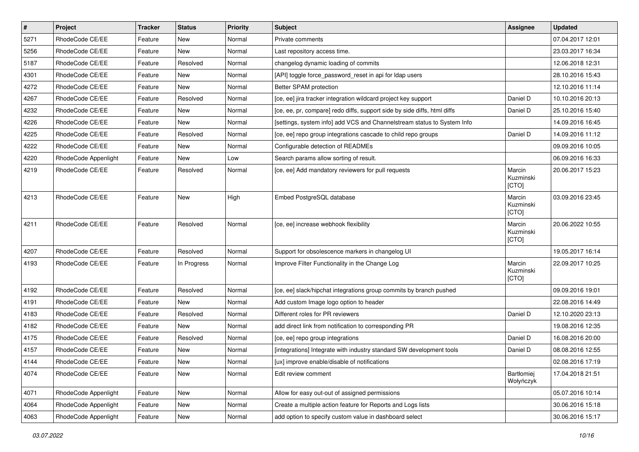| $\pmb{\#}$ | Project              | <b>Tracker</b> | <b>Status</b> | <b>Priority</b> | <b>Subject</b>                                                           | <b>Assignee</b>              | <b>Updated</b>   |
|------------|----------------------|----------------|---------------|-----------------|--------------------------------------------------------------------------|------------------------------|------------------|
| 5271       | RhodeCode CE/EE      | Feature        | New           | Normal          | Private comments                                                         |                              | 07.04.2017 12:01 |
| 5256       | RhodeCode CE/EE      | Feature        | <b>New</b>    | Normal          | Last repository access time.                                             |                              | 23.03.2017 16:34 |
| 5187       | RhodeCode CE/EE      | Feature        | Resolved      | Normal          | changelog dynamic loading of commits                                     |                              | 12.06.2018 12:31 |
| 4301       | RhodeCode CE/EE      | Feature        | New           | Normal          | [API] toggle force_password_reset in api for Idap users                  |                              | 28.10.2016 15:43 |
| 4272       | RhodeCode CE/EE      | Feature        | <b>New</b>    | Normal          | Better SPAM protection                                                   |                              | 12.10.2016 11:14 |
| 4267       | RhodeCode CE/EE      | Feature        | Resolved      | Normal          | [ce, ee] jira tracker integration wildcard project key support           | Daniel D                     | 10.10.2016 20:13 |
| 4232       | RhodeCode CE/EE      | Feature        | New           | Normal          | [ce, ee, pr, compare] redo diffs, support side by side diffs, html diffs | Daniel D                     | 25.10.2016 15:40 |
| 4226       | RhodeCode CE/EE      | Feature        | New           | Normal          | [settings, system info] add VCS and Channelstream status to System Info  |                              | 14.09.2016 16:45 |
| 4225       | RhodeCode CE/EE      | Feature        | Resolved      | Normal          | [ce, ee] repo group integrations cascade to child repo groups            | Daniel D                     | 14.09.2016 11:12 |
| 4222       | RhodeCode CE/EE      | Feature        | <b>New</b>    | Normal          | Configurable detection of READMEs                                        |                              | 09.09.2016 10:05 |
| 4220       | RhodeCode Appenlight | Feature        | New           | Low             | Search params allow sorting of result.                                   |                              | 06.09.2016 16:33 |
| 4219       | RhodeCode CE/EE      | Feature        | Resolved      | Normal          | [ce, ee] Add mandatory reviewers for pull requests                       | Marcin<br>Kuzminski<br>[CTO] | 20.06.2017 15:23 |
| 4213       | RhodeCode CE/EE      | Feature        | <b>New</b>    | High            | Embed PostgreSQL database                                                | Marcin<br>Kuzminski<br>[CTO] | 03.09.2016 23:45 |
| 4211       | RhodeCode CE/EE      | Feature        | Resolved      | Normal          | [ce, ee] increase webhook flexibility                                    | Marcin<br>Kuzminski<br>[CTO] | 20.06.2022 10:55 |
| 4207       | RhodeCode CE/EE      | Feature        | Resolved      | Normal          | Support for obsolescence markers in changelog UI                         |                              | 19.05.2017 16:14 |
| 4193       | RhodeCode CE/EE      | Feature        | In Progress   | Normal          | Improve Filter Functionality in the Change Log                           | Marcin<br>Kuzminski<br>[CTO] | 22.09.2017 10:25 |
| 4192       | RhodeCode CE/EE      | Feature        | Resolved      | Normal          | [ce, ee] slack/hipchat integrations group commits by branch pushed       |                              | 09.09.2016 19:01 |
| 4191       | RhodeCode CE/EE      | Feature        | New           | Normal          | Add custom Image logo option to header                                   |                              | 22.08.2016 14:49 |
| 4183       | RhodeCode CE/EE      | Feature        | Resolved      | Normal          | Different roles for PR reviewers                                         | Daniel D                     | 12.10.2020 23:13 |
| 4182       | RhodeCode CE/EE      | Feature        | <b>New</b>    | Normal          | add direct link from notification to corresponding PR                    |                              | 19.08.2016 12:35 |
| 4175       | RhodeCode CE/EE      | Feature        | Resolved      | Normal          | [ce, ee] repo group integrations                                         | Daniel D                     | 16.08.2016 20:00 |
| 4157       | RhodeCode CE/EE      | Feature        | New           | Normal          | [integrations] Integrate with industry standard SW development tools     | Daniel D                     | 08.08.2016 12:55 |
| 4144       | RhodeCode CE/EE      | Feature        | New           | Normal          | [ux] improve enable/disable of notifications                             |                              | 02.08.2016 17:19 |
| 4074       | RhodeCode CE/EE      | Feature        | New           | Normal          | Edit review comment                                                      | Bartłomiej<br>Wołyńczyk      | 17.04.2018 21:51 |
| 4071       | RhodeCode Appenlight | Feature        | New           | Normal          | Allow for easy out-out of assigned permissions                           |                              | 05.07.2016 10:14 |
| 4064       | RhodeCode Appenlight | Feature        | New           | Normal          | Create a multiple action feature for Reports and Logs lists              |                              | 30.06.2016 15:18 |
| 4063       | RhodeCode Appenlight | Feature        | New           | Normal          | add option to specify custom value in dashboard select                   |                              | 30.06.2016 15:17 |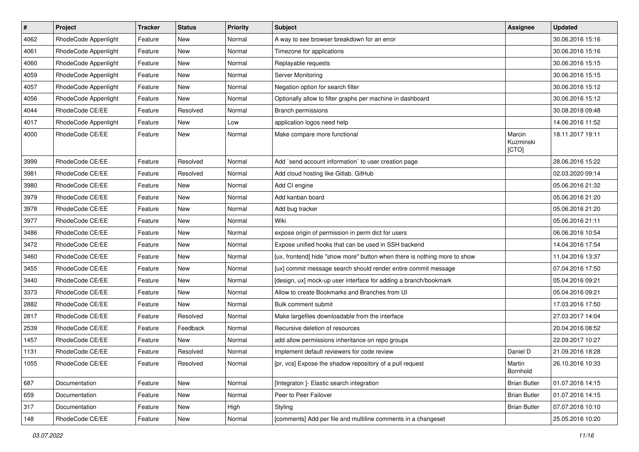| $\pmb{\#}$ | Project              | Tracker | <b>Status</b> | <b>Priority</b> | Subject                                                                   | Assignee                     | <b>Updated</b>   |
|------------|----------------------|---------|---------------|-----------------|---------------------------------------------------------------------------|------------------------------|------------------|
| 4062       | RhodeCode Appenlight | Feature | New           | Normal          | A way to see browser breakdown for an error                               |                              | 30.06.2016 15:16 |
| 4061       | RhodeCode Appenlight | Feature | <b>New</b>    | Normal          | Timezone for applications                                                 |                              | 30.06.2016 15:16 |
| 4060       | RhodeCode Appenlight | Feature | New           | Normal          | Replayable requests                                                       |                              | 30.06.2016 15:15 |
| 4059       | RhodeCode Appenlight | Feature | New           | Normal          | Server Monitoring                                                         |                              | 30.06.2016 15:15 |
| 4057       | RhodeCode Appenlight | Feature | <b>New</b>    | Normal          | Negation option for search filter                                         |                              | 30.06.2016 15:12 |
| 4056       | RhodeCode Appenlight | Feature | <b>New</b>    | Normal          | Optionally allow to filter graphs per machine in dashboard                |                              | 30.06.2016 15:12 |
| 4044       | RhodeCode CE/EE      | Feature | Resolved      | Normal          | <b>Branch permissions</b>                                                 |                              | 30.08.2018 09:48 |
| 4017       | RhodeCode Appenlight | Feature | New           | Low             | application logos need help                                               |                              | 14.06.2016 11:52 |
| 4000       | RhodeCode CE/EE      | Feature | <b>New</b>    | Normal          | Make compare more functional                                              | Marcin<br>Kuzminski<br>[CTO] | 18.11.2017 19:11 |
| 3999       | RhodeCode CE/EE      | Feature | Resolved      | Normal          | Add `send account information` to user creation page                      |                              | 28.06.2016 15:22 |
| 3981       | RhodeCode CE/EE      | Feature | Resolved      | Normal          | Add cloud hosting like Gitlab, GitHub                                     |                              | 02.03.2020 09:14 |
| 3980       | RhodeCode CE/EE      | Feature | New           | Normal          | Add CI engine                                                             |                              | 05.06.2016 21:32 |
| 3979       | RhodeCode CE/EE      | Feature | <b>New</b>    | Normal          | Add kanban board                                                          |                              | 05.06.2016 21:20 |
| 3978       | RhodeCode CE/EE      | Feature | New           | Normal          | Add bug tracker                                                           |                              | 05.06.2016 21:20 |
| 3977       | RhodeCode CE/EE      | Feature | New           | Normal          | Wiki                                                                      |                              | 05.06.2016 21:11 |
| 3486       | RhodeCode CE/EE      | Feature | <b>New</b>    | Normal          | expose origin of permission in perm dict for users                        |                              | 06.06.2016 10:54 |
| 3472       | RhodeCode CE/EE      | Feature | <b>New</b>    | Normal          | Expose unified hooks that can be used in SSH backend                      |                              | 14.04.2016 17:54 |
| 3460       | RhodeCode CE/EE      | Feature | New           | Normal          | [ux, frontend] hide "show more" button when there is nothing more to show |                              | 11.04.2016 13:37 |
| 3455       | RhodeCode CE/EE      | Feature | <b>New</b>    | Normal          | [ux] commit message search should render entire commit message            |                              | 07.04.2016 17:50 |
| 3440       | RhodeCode CE/EE      | Feature | New           | Normal          | [design, ux] mock-up user interface for adding a branch/bookmark          |                              | 05.04.2016 09:21 |
| 3373       | RhodeCode CE/EE      | Feature | <b>New</b>    | Normal          | Allow to create Bookmarks and Branches from UI                            |                              | 05.04.2016 09:21 |
| 2882       | RhodeCode CE/EE      | Feature | New           | Normal          | Bulk comment submit                                                       |                              | 17.03.2016 17:50 |
| 2817       | RhodeCode CE/EE      | Feature | Resolved      | Normal          | Make largefiles downloadable from the interface                           |                              | 27.03.2017 14:04 |
| 2539       | RhodeCode CE/EE      | Feature | Feedback      | Normal          | Recursive deletion of resources                                           |                              | 20.04.2016 08:52 |
| 1457       | RhodeCode CE/EE      | Feature | New           | Normal          | add allow permissions inheritance on repo groups                          |                              | 22.09.2017 10:27 |
| 1131       | RhodeCode CE/EE      | Feature | Resolved      | Normal          | Implement default reviewers for code review                               | Daniel D                     | 21.09.2016 18:28 |
| 1055       | RhodeCode CE/EE      | Feature | Resolved      | Normal          | [pr, vcs] Expose the shadow repository of a pull request                  | Martin<br>Bornhold           | 26.10.2016 10:33 |
| 687        | Documentation        | Feature | New           | Normal          | [Integraton ]- Elastic search integration                                 | <b>Brian Butler</b>          | 01.07.2016 14:15 |
| 659        | Documentation        | Feature | New           | Normal          | Peer to Peer Failover                                                     | <b>Brian Butler</b>          | 01.07.2016 14:15 |
| 317        | Documentation        | Feature | New           | High            | Styling                                                                   | <b>Brian Butler</b>          | 07.07.2016 10:10 |
| 148        | RhodeCode CE/EE      | Feature | New           | Normal          | [comments] Add per file and multiline comments in a changeset             |                              | 25.05.2016 10:20 |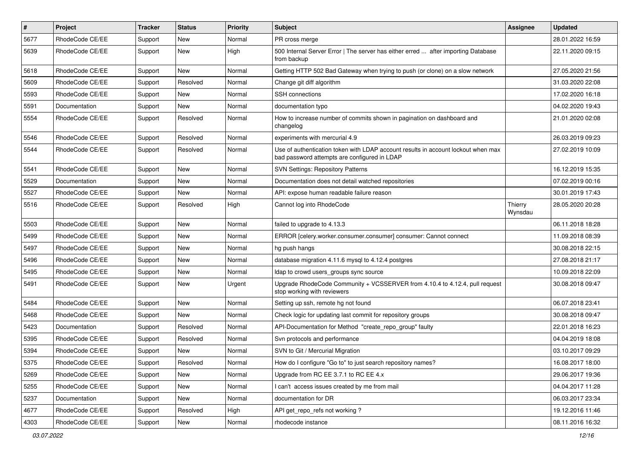| $\vert$ # | Project         | <b>Tracker</b> | <b>Status</b> | <b>Priority</b> | <b>Subject</b>                                                                                                                    | <b>Assignee</b>    | <b>Updated</b>   |
|-----------|-----------------|----------------|---------------|-----------------|-----------------------------------------------------------------------------------------------------------------------------------|--------------------|------------------|
| 5677      | RhodeCode CE/EE | Support        | New           | Normal          | PR cross merge                                                                                                                    |                    | 28.01.2022 16:59 |
| 5639      | RhodeCode CE/EE | Support        | New           | High            | 500 Internal Server Error   The server has either erred  after importing Database<br>from backup                                  |                    | 22.11.2020 09:15 |
| 5618      | RhodeCode CE/EE | Support        | New           | Normal          | Getting HTTP 502 Bad Gateway when trying to push (or clone) on a slow network                                                     |                    | 27.05.2020 21:56 |
| 5609      | RhodeCode CE/EE | Support        | Resolved      | Normal          | Change git diff algorithm                                                                                                         |                    | 31.03.2020 22:08 |
| 5593      | RhodeCode CE/EE | Support        | New           | Normal          | <b>SSH</b> connections                                                                                                            |                    | 17.02.2020 16:18 |
| 5591      | Documentation   | Support        | New           | Normal          | documentation typo                                                                                                                |                    | 04.02.2020 19:43 |
| 5554      | RhodeCode CE/EE | Support        | Resolved      | Normal          | How to increase number of commits shown in pagination on dashboard and<br>changelog                                               |                    | 21.01.2020 02:08 |
| 5546      | RhodeCode CE/EE | Support        | Resolved      | Normal          | experiments with mercurial 4.9                                                                                                    |                    | 26.03.2019 09:23 |
| 5544      | RhodeCode CE/EE | Support        | Resolved      | Normal          | Use of authentication token with LDAP account results in account lockout when max<br>bad password attempts are configured in LDAP |                    | 27.02.2019 10:09 |
| 5541      | RhodeCode CE/EE | Support        | New           | Normal          | <b>SVN Settings: Repository Patterns</b>                                                                                          |                    | 16.12.2019 15:35 |
| 5529      | Documentation   | Support        | New           | Normal          | Documentation does not detail watched repositories                                                                                |                    | 07.02.2019 00:16 |
| 5527      | RhodeCode CE/EE | Support        | New           | Normal          | API: expose human readable failure reason                                                                                         |                    | 30.01.2019 17:43 |
| 5516      | RhodeCode CE/EE | Support        | Resolved      | High            | Cannot log into RhodeCode                                                                                                         | Thierry<br>Wynsdau | 28.05.2020 20:28 |
| 5503      | RhodeCode CE/EE | Support        | <b>New</b>    | Normal          | failed to upgrade to 4.13.3                                                                                                       |                    | 06.11.2018 18:28 |
| 5499      | RhodeCode CE/EE | Support        | New           | Normal          | ERROR [celery.worker.consumer.consumer] consumer: Cannot connect                                                                  |                    | 11.09.2018 08:39 |
| 5497      | RhodeCode CE/EE | Support        | New           | Normal          | hg push hangs                                                                                                                     |                    | 30.08.2018 22:15 |
| 5496      | RhodeCode CE/EE | Support        | New           | Normal          | database migration 4.11.6 mysql to 4.12.4 postgres                                                                                |                    | 27.08.2018 21:17 |
| 5495      | RhodeCode CE/EE | Support        | New           | Normal          | Idap to crowd users_groups sync source                                                                                            |                    | 10.09.2018 22:09 |
| 5491      | RhodeCode CE/EE | Support        | New           | Urgent          | Upgrade RhodeCode Community + VCSSERVER from 4.10.4 to 4.12.4, pull request<br>stop working with reviewers                        |                    | 30.08.2018 09:47 |
| 5484      | RhodeCode CE/EE | Support        | New           | Normal          | Setting up ssh, remote hg not found                                                                                               |                    | 06.07.2018 23:41 |
| 5468      | RhodeCode CE/EE | Support        | <b>New</b>    | Normal          | Check logic for updating last commit for repository groups                                                                        |                    | 30.08.2018 09:47 |
| 5423      | Documentation   | Support        | Resolved      | Normal          | API-Documentation for Method "create repo group" faulty                                                                           |                    | 22.01.2018 16:23 |
| 5395      | RhodeCode CE/EE | Support        | Resolved      | Normal          | Svn protocols and performance                                                                                                     |                    | 04.04.2019 18:08 |
| 5394      | RhodeCode CE/EE | Support        | New           | Normal          | SVN to Git / Mercurial Migration                                                                                                  |                    | 03.10.2017 09:29 |
| 5375      | RhodeCode CE/EE | Support        | Resolved      | Normal          | How do I configure "Go to" to just search repository names?                                                                       |                    | 16.08.2017 18:00 |
| 5269      | RhodeCode CE/EE | Support        | New           | Normal          | Upgrade from RC EE 3.7.1 to RC EE 4.x                                                                                             |                    | 29.06.2017 19:36 |
| 5255      | RhodeCode CE/EE | Support        | New           | Normal          | I can't access issues created by me from mail                                                                                     |                    | 04.04.2017 11:28 |
| 5237      | Documentation   | Support        | New           | Normal          | documentation for DR                                                                                                              |                    | 06.03.2017 23:34 |
| 4677      | RhodeCode CE/EE | Support        | Resolved      | High            | API get repo refs not working?                                                                                                    |                    | 19.12.2016 11:46 |
| 4303      | RhodeCode CE/EE | Support        | New           | Normal          | rhodecode instance                                                                                                                |                    | 08.11.2016 16:32 |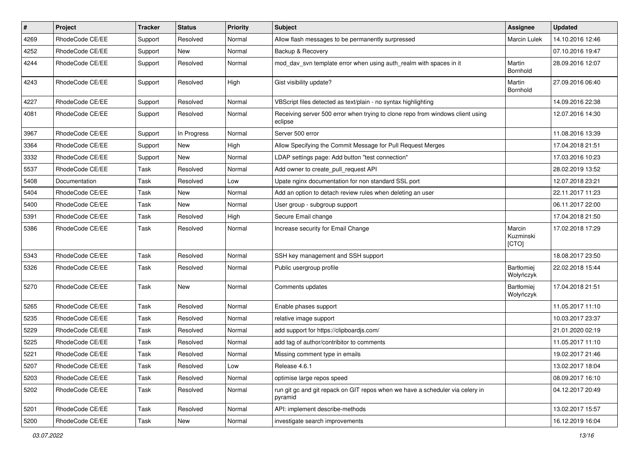| $\pmb{\#}$ | <b>Project</b>  | <b>Tracker</b> | <b>Status</b> | <b>Priority</b> | Subject                                                                                   | Assignee                     | <b>Updated</b>   |
|------------|-----------------|----------------|---------------|-----------------|-------------------------------------------------------------------------------------------|------------------------------|------------------|
| 4269       | RhodeCode CE/EE | Support        | Resolved      | Normal          | Allow flash messages to be permanently surpressed                                         | Marcin Lulek                 | 14.10.2016 12:46 |
| 4252       | RhodeCode CE/EE | Support        | New           | Normal          | Backup & Recovery                                                                         |                              | 07.10.2016 19:47 |
| 4244       | RhodeCode CE/EE | Support        | Resolved      | Normal          | mod_dav_svn template error when using auth_realm with spaces in it                        | Martin<br><b>Bornhold</b>    | 28.09.2016 12:07 |
| 4243       | RhodeCode CE/EE | Support        | Resolved      | High            | Gist visibility update?                                                                   | Martin<br>Bornhold           | 27.09.2016 06:40 |
| 4227       | RhodeCode CE/EE | Support        | Resolved      | Normal          | VBScript files detected as text/plain - no syntax highlighting                            |                              | 14.09.2016 22:38 |
| 4081       | RhodeCode CE/EE | Support        | Resolved      | Normal          | Receiving server 500 error when trying to clone repo from windows client using<br>eclipse |                              | 12.07.2016 14:30 |
| 3967       | RhodeCode CE/EE | Support        | In Progress   | Normal          | Server 500 error                                                                          |                              | 11.08.2016 13:39 |
| 3364       | RhodeCode CE/EE | Support        | New           | High            | Allow Specifying the Commit Message for Pull Request Merges                               |                              | 17.04.2018 21:51 |
| 3332       | RhodeCode CE/EE | Support        | <b>New</b>    | Normal          | LDAP settings page: Add button "test connection"                                          |                              | 17.03.2016 10:23 |
| 5537       | RhodeCode CE/EE | Task           | Resolved      | Normal          | Add owner to create_pull_request API                                                      |                              | 28.02.2019 13:52 |
| 5408       | Documentation   | Task           | Resolved      | Low             | Upate nginx documentation for non standard SSL port                                       |                              | 12.07.2018 23:21 |
| 5404       | RhodeCode CE/EE | Task           | New           | Normal          | Add an option to detach review rules when deleting an user                                |                              | 22.11.2017 11:23 |
| 5400       | RhodeCode CE/EE | Task           | <b>New</b>    | Normal          | User group - subgroup support                                                             |                              | 06.11.2017 22:00 |
| 5391       | RhodeCode CE/EE | Task           | Resolved      | High            | Secure Email change                                                                       |                              | 17.04.2018 21:50 |
| 5386       | RhodeCode CE/EE | Task           | Resolved      | Normal          | Increase security for Email Change                                                        | Marcin<br>Kuzminski<br>[CTO] | 17.02.2018 17:29 |
| 5343       | RhodeCode CE/EE | Task           | Resolved      | Normal          | SSH key management and SSH support                                                        |                              | 18.08.2017 23:50 |
| 5326       | RhodeCode CE/EE | Task           | Resolved      | Normal          | Public usergroup profile                                                                  | Bartłomiej<br>Wołyńczyk      | 22.02.2018 15:44 |
| 5270       | RhodeCode CE/EE | Task           | New           | Normal          | Comments updates                                                                          | Bartłomiej<br>Wołyńczyk      | 17.04.2018 21:51 |
| 5265       | RhodeCode CE/EE | Task           | Resolved      | Normal          | Enable phases support                                                                     |                              | 11.05.2017 11:10 |
| 5235       | RhodeCode CE/EE | Task           | Resolved      | Normal          | relative image support                                                                    |                              | 10.03.2017 23:37 |
| 5229       | RhodeCode CE/EE | Task           | Resolved      | Normal          | add support for https://clipboardjs.com/                                                  |                              | 21.01.2020 02:19 |
| 5225       | RhodeCode CE/EE | Task           | Resolved      | Normal          | add tag of author/contribitor to comments                                                 |                              | 11.05.2017 11:10 |
| 5221       | RhodeCode CE/EE | Task           | Resolved      | Normal          | Missing comment type in emails                                                            |                              | 19.02.2017 21:46 |
| 5207       | RhodeCode CE/EE | Task           | Resolved      | Low             | Release 4.6.1                                                                             |                              | 13.02.2017 18:04 |
| 5203       | RhodeCode CE/EE | Task           | Resolved      | Normal          | optimise large repos speed                                                                |                              | 08.09.2017 16:10 |
| 5202       | RhodeCode CE/EE | Task           | Resolved      | Normal          | run git gc and git repack on GIT repos when we have a scheduler via celery in<br>pyramid  |                              | 04.12.2017 20:49 |
| 5201       | RhodeCode CE/EE | Task           | Resolved      | Normal          | API: implement describe-methods                                                           |                              | 13.02.2017 15:57 |
| 5200       | RhodeCode CE/EE | Task           | New           | Normal          | investigate search improvements                                                           |                              | 16.12.2019 16:04 |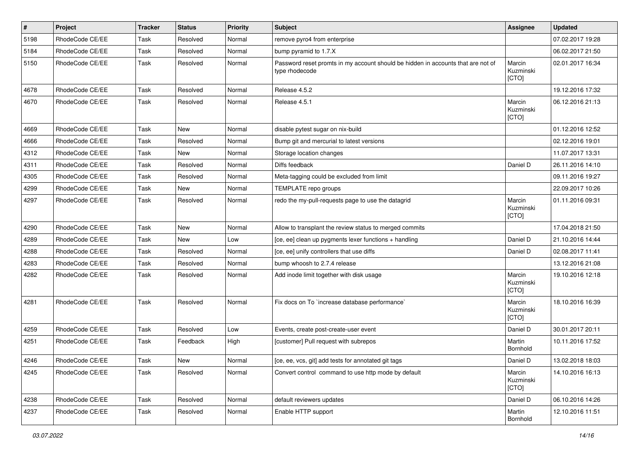| $\vert$ # | Project         | <b>Tracker</b> | <b>Status</b> | <b>Priority</b> | <b>Subject</b>                                                                                     | Assignee                     | <b>Updated</b>   |
|-----------|-----------------|----------------|---------------|-----------------|----------------------------------------------------------------------------------------------------|------------------------------|------------------|
| 5198      | RhodeCode CE/EE | Task           | Resolved      | Normal          | remove pyro4 from enterprise                                                                       |                              | 07.02.2017 19:28 |
| 5184      | RhodeCode CE/EE | Task           | Resolved      | Normal          | bump pyramid to 1.7.X                                                                              |                              | 06.02.2017 21:50 |
| 5150      | RhodeCode CE/EE | Task           | Resolved      | Normal          | Password reset promts in my account should be hidden in accounts that are not of<br>type rhodecode | Marcin<br>Kuzminski<br>[CTO] | 02.01.2017 16:34 |
| 4678      | RhodeCode CE/EE | Task           | Resolved      | Normal          | Release 4.5.2                                                                                      |                              | 19.12.2016 17:32 |
| 4670      | RhodeCode CE/EE | Task           | Resolved      | Normal          | Release 4.5.1                                                                                      | Marcin<br>Kuzminski<br>[CTO] | 06.12.2016 21:13 |
| 4669      | RhodeCode CE/EE | Task           | New           | Normal          | disable pytest sugar on nix-build                                                                  |                              | 01.12.2016 12:52 |
| 4666      | RhodeCode CE/EE | Task           | Resolved      | Normal          | Bump git and mercurial to latest versions                                                          |                              | 02.12.2016 19:01 |
| 4312      | RhodeCode CE/EE | Task           | <b>New</b>    | Normal          | Storage location changes                                                                           |                              | 11.07.2017 13:31 |
| 4311      | RhodeCode CE/EE | Task           | Resolved      | Normal          | Diffs feedback                                                                                     | Daniel D                     | 26.11.2016 14:10 |
| 4305      | RhodeCode CE/EE | Task           | Resolved      | Normal          | Meta-tagging could be excluded from limit                                                          |                              | 09.11.2016 19:27 |
| 4299      | RhodeCode CE/EE | Task           | New           | Normal          | TEMPLATE repo groups                                                                               |                              | 22.09.2017 10:26 |
| 4297      | RhodeCode CE/EE | Task           | Resolved      | Normal          | redo the my-pull-requests page to use the datagrid                                                 | Marcin<br>Kuzminski<br>[CTO] | 01.11.2016 09:31 |
| 4290      | RhodeCode CE/EE | Task           | <b>New</b>    | Normal          | Allow to transplant the review status to merged commits                                            |                              | 17.04.2018 21:50 |
| 4289      | RhodeCode CE/EE | Task           | <b>New</b>    | Low             | [ce, ee] clean up pygments lexer functions + handling                                              | Daniel D                     | 21.10.2016 14:44 |
| 4288      | RhodeCode CE/EE | Task           | Resolved      | Normal          | [ce, ee] unify controllers that use diffs                                                          | Daniel D                     | 02.08.2017 11:41 |
| 4283      | RhodeCode CE/EE | Task           | Resolved      | Normal          | bump whoosh to 2.7.4 release                                                                       |                              | 13.12.2016 21:08 |
| 4282      | RhodeCode CE/EE | Task           | Resolved      | Normal          | Add inode limit together with disk usage                                                           | Marcin<br>Kuzminski<br>[CTO] | 19.10.2016 12:18 |
| 4281      | RhodeCode CE/EE | Task           | Resolved      | Normal          | Fix docs on To `increase database performance`                                                     | Marcin<br>Kuzminski<br>[CTO] | 18.10.2016 16:39 |
| 4259      | RhodeCode CE/EE | Task           | Resolved      | Low             | Events, create post-create-user event                                                              | Daniel D                     | 30.01.2017 20:11 |
| 4251      | RhodeCode CE/EE | Task           | Feedback      | High            | [customer] Pull request with subrepos                                                              | Martin<br>Bornhold           | 10.11.2016 17:52 |
| 4246      | RhodeCode CE/EE | Task           | New           | Normal          | [ce, ee, vcs, git] add tests for annotated git tags                                                | Daniel D                     | 13.02.2018 18:03 |
| 4245      | RhodeCode CE/EE | Task           | Resolved      | Normal          | Convert control command to use http mode by default                                                | Marcin<br>Kuzminski<br>[CTO] | 14.10.2016 16:13 |
| 4238      | RhodeCode CE/EE | Task           | Resolved      | Normal          | default reviewers updates                                                                          | Daniel D                     | 06.10.2016 14:26 |
| 4237      | RhodeCode CE/EE | Task           | Resolved      | Normal          | Enable HTTP support                                                                                | Martin<br>Bornhold           | 12.10.2016 11:51 |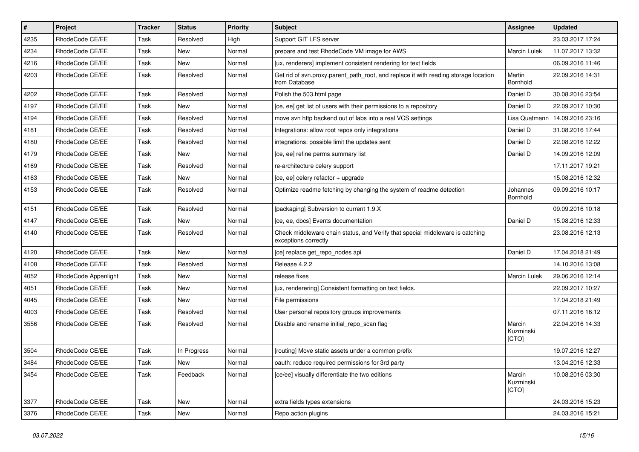| $\vert$ # | Project              | <b>Tracker</b> | <b>Status</b> | Priority | Subject                                                                                               | <b>Assignee</b>              | <b>Updated</b>   |
|-----------|----------------------|----------------|---------------|----------|-------------------------------------------------------------------------------------------------------|------------------------------|------------------|
| 4235      | RhodeCode CE/EE      | Task           | Resolved      | High     | Support GIT LFS server                                                                                |                              | 23.03.2017 17:24 |
| 4234      | RhodeCode CE/EE      | Task           | <b>New</b>    | Normal   | prepare and test RhodeCode VM image for AWS                                                           | <b>Marcin Lulek</b>          | 11.07.2017 13:32 |
| 4216      | RhodeCode CE/EE      | Task           | New           | Normal   | [ux, renderers] implement consistent rendering for text fields                                        |                              | 06.09.2016 11:46 |
| 4203      | RhodeCode CE/EE      | Task           | Resolved      | Normal   | Get rid of svn.proxy.parent_path_root, and replace it with reading storage location<br>from Database  | Martin<br>Bornhold           | 22.09.2016 14:31 |
| 4202      | RhodeCode CE/EE      | Task           | Resolved      | Normal   | Polish the 503.html page                                                                              | Daniel D                     | 30.08.2016 23:54 |
| 4197      | RhodeCode CE/EE      | Task           | <b>New</b>    | Normal   | [ce, ee] get list of users with their permissions to a repository                                     | Daniel D                     | 22.09.2017 10:30 |
| 4194      | RhodeCode CE/EE      | Task           | Resolved      | Normal   | move svn http backend out of labs into a real VCS settings                                            | Lisa Quatmann                | 14.09.2016 23:16 |
| 4181      | RhodeCode CE/EE      | Task           | Resolved      | Normal   | Integrations: allow root repos only integrations                                                      | Daniel D                     | 31.08.2016 17:44 |
| 4180      | RhodeCode CE/EE      | Task           | Resolved      | Normal   | integrations: possible limit the updates sent                                                         | Daniel D                     | 22.08.2016 12:22 |
| 4179      | RhodeCode CE/EE      | Task           | New           | Normal   | [ce, ee] refine perms summary list                                                                    | Daniel D                     | 14.09.2016 12:09 |
| 4169      | RhodeCode CE/EE      | Task           | Resolved      | Normal   | re-architecture celery support                                                                        |                              | 17.11.2017 19:21 |
| 4163      | RhodeCode CE/EE      | Task           | <b>New</b>    | Normal   | [ce, ee] celery refactor + upgrade                                                                    |                              | 15.08.2016 12:32 |
| 4153      | RhodeCode CE/EE      | Task           | Resolved      | Normal   | Optimize readme fetching by changing the system of readme detection                                   | Johannes<br>Bornhold         | 09.09.2016 10:17 |
| 4151      | RhodeCode CE/EE      | Task           | Resolved      | Normal   | [packaging] Subversion to current 1.9.X                                                               |                              | 09.09.2016 10:18 |
| 4147      | RhodeCode CE/EE      | Task           | New           | Normal   | [ce, ee, docs] Events documentation                                                                   | Daniel D                     | 15.08.2016 12:33 |
| 4140      | RhodeCode CE/EE      | Task           | Resolved      | Normal   | Check middleware chain status, and Verify that special middleware is catching<br>exceptions correctly |                              | 23.08.2016 12:13 |
| 4120      | RhodeCode CE/EE      | Task           | New           | Normal   | [ce] replace get_repo_nodes api                                                                       | Daniel D                     | 17.04.2018 21:49 |
| 4108      | RhodeCode CE/EE      | Task           | Resolved      | Normal   | Release 4.2.2                                                                                         |                              | 14.10.2016 13:08 |
| 4052      | RhodeCode Appenlight | Task           | <b>New</b>    | Normal   | release fixes                                                                                         | <b>Marcin Lulek</b>          | 29.06.2016 12:14 |
| 4051      | RhodeCode CE/EE      | Task           | New           | Normal   | [ux, renderering] Consistent formatting on text fields.                                               |                              | 22.09.2017 10:27 |
| 4045      | RhodeCode CE/EE      | Task           | New           | Normal   | File permissions                                                                                      |                              | 17.04.2018 21:49 |
| 4003      | RhodeCode CE/EE      | Task           | Resolved      | Normal   | User personal repository groups improvements                                                          |                              | 07.11.2016 16:12 |
| 3556      | RhodeCode CE/EE      | Task           | Resolved      | Normal   | Disable and rename initial_repo_scan flag                                                             | Marcin<br>Kuzminski<br>[CTO] | 22.04.2016 14:33 |
| 3504      | RhodeCode CE/EE      | Task           | In Progress   | Normal   | [routing] Move static assets under a common prefix                                                    |                              | 19.07.2016 12:27 |
| 3484      | RhodeCode CE/EE      | Task           | New           | Normal   | oauth: reduce required permissions for 3rd party                                                      |                              | 13.04.2016 12:33 |
| 3454      | RhodeCode CE/EE      | Task           | Feedback      | Normal   | [ce/ee] visually differentiate the two editions                                                       | Marcin<br>Kuzminski<br>[CTO] | 10.08.2016 03:30 |
| 3377      | RhodeCode CE/EE      | Task           | New           | Normal   | extra fields types extensions                                                                         |                              | 24.03.2016 15:23 |
| 3376      | RhodeCode CE/EE      | Task           | New           | Normal   | Repo action plugins                                                                                   |                              | 24.03.2016 15:21 |